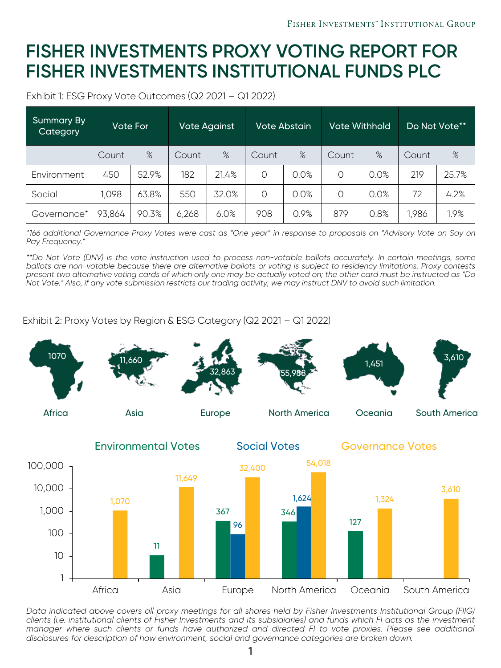## **FISHER INVESTMENTS PROXY VOTING REPORT FOR FISHER INVESTMENTS INSTITUTIONAL FUNDS PLC**

Exhibit 1: ESG Proxy Vote Outcomes (Q2 2021 – Q1 2022)

| <b>Summary By</b><br><b>Category</b> | Vote For |       | <b>Vote Against</b> |       | Vote Abstain |      | Vote Withhold |      | Do Not Vote** |       |
|--------------------------------------|----------|-------|---------------------|-------|--------------|------|---------------|------|---------------|-------|
|                                      | Count    | %     | Count               | %     | Count        | %    | Count         | %    | Count         | %     |
| Environment                          | 450      | 52.9% | 182                 | 21.4% | $\Omega$     | 0.0% | $\Omega$      | 0.0% | 219           | 25.7% |
| Social                               | 1,098    | 63.8% | 550                 | 32.0% | $\Omega$     | 0.0% | $\Omega$      | 0.0% | 72            | 4.2%  |
| Governance*                          | 93,864   | 90.3% | 6,268               | 6.0%  | 908          | 0.9% | 879           | 0.8% | 1,986         | 1.9%  |

\*166 additional Governance Proxy Votes were cast as "One year" in response to proposals on "Advisory Vote on Say on *Pay Frequency."*

\*\*Do Not Vote (DNV) is the vote instruction used to process non-votable ballots accurately. In certain meetings, some ballots are non-votable because there are alternative ballots or voting is subject to residency limitations. Proxy contests present two alternative voting cards of which only one may be actually voted on; the other card must be instructed as "Do Not Vote." Also, if any vote submission restricts our trading activity, we may instruct DNV to avoid such limitation.

Exhibit 2: Proxy Votes by Region & ESG Category (Q2 2021 – Q1 2022)



Data indicated above covers all proxy meetings for all shares held by Fisher Investments Institutional Group (FIIG) clients (i.e. institutional clients of Fisher Investments and its subsidiaries) and funds which FI acts as the investment manager where such clients or funds have authorized and directed FI to vote proxies. Please see additional *disclosures for description of how environment, social and governance categories are broken down.*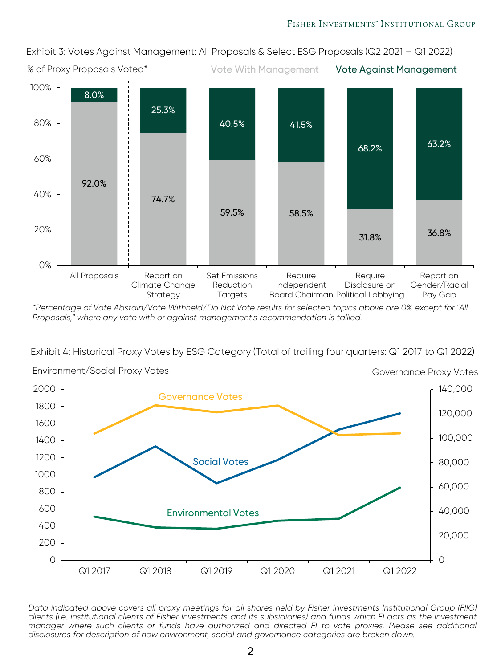Exhibit 3: Votes Against Management: All Proposals & Select ESG Proposals (Q2 2021 – Q1 2022)



*\*Percentage of Vote Abstain/Vote Withheld/Do Not Vote results for selected topics above are 0% except for "All Proposals," where any vote with or against management's recommendation is tallied.* 

Exhibit 4: Historical Proxy Votes by ESG Category (Total of trailing four quarters: Q1 2017 to Q1 2022)



Data indicated above covers all proxy meetings for all shares held by Fisher Investments Institutional Group (FIIG) clients (i.e. institutional clients of Fisher Investments and its subsidiaries) and funds which FI acts as the investment manager where such clients or funds have authorized and directed FI to vote proxies. Please see additional *disclosures for description of how environment, social and governance categories are broken down.*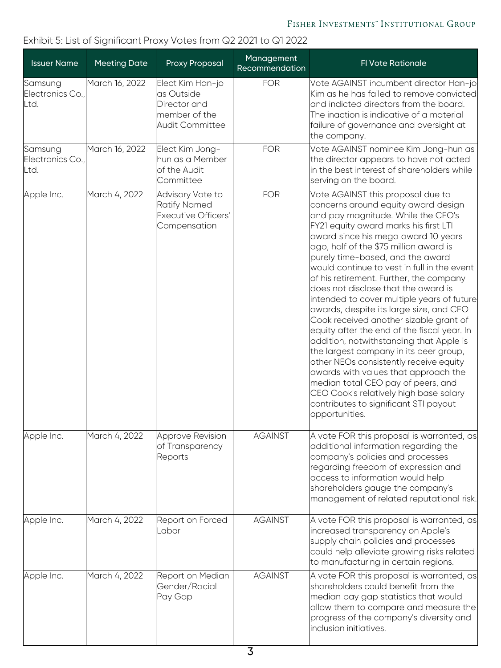### Exhibit 5: List of Significant Proxy Votes from Q2 2021 to Q1 2022

| <b>Issuer Name</b>                  | <b>Meeting Date</b> | <b>Proxy Proposal</b>                                                               | Management<br>Recommendation | FI Vote Rationale                                                                                                                                                                                                                                                                                                                                                                                                                                                                                                                                                                                                                                                                                                                                                                                                                                                                                                 |
|-------------------------------------|---------------------|-------------------------------------------------------------------------------------|------------------------------|-------------------------------------------------------------------------------------------------------------------------------------------------------------------------------------------------------------------------------------------------------------------------------------------------------------------------------------------------------------------------------------------------------------------------------------------------------------------------------------------------------------------------------------------------------------------------------------------------------------------------------------------------------------------------------------------------------------------------------------------------------------------------------------------------------------------------------------------------------------------------------------------------------------------|
| Samsung<br>Electronics Co.,<br>Ltd. | March 16, 2022      | Elect Kim Han-jo<br>las Outside<br>Director and<br>member of the<br>Audit Committee | <b>FOR</b>                   | Vote AGAINST incumbent director Han-jo<br>Kim as he has failed to remove convicted<br>and indicted directors from the board.<br>The inaction is indicative of a material<br>failure of governance and oversight at<br>the company.                                                                                                                                                                                                                                                                                                                                                                                                                                                                                                                                                                                                                                                                                |
| Samsung<br>Electronics Co.,<br>Ltd. | March 16, 2022      | Elect Kim Jong-<br>hun as a Member<br>of the Audit<br>lCommittee                    | <b>FOR</b>                   | Vote AGAINST nominee Kim Jong-hun as<br>the director appears to have not acted<br>in the best interest of shareholders while<br>serving on the board.                                                                                                                                                                                                                                                                                                                                                                                                                                                                                                                                                                                                                                                                                                                                                             |
| Apple Inc.                          | March 4, 2022       | Advisory Vote to<br>Ratify Named<br>Executive Officers'<br>Compensation             | <b>FOR</b>                   | Vote AGAINST this proposal due to<br>concerns around equity award design<br>and pay magnitude. While the CEO's<br>FY21 equity award marks his first LTI<br>award since his mega award 10 years<br>ago, half of the \$75 million award is<br>purely time-based, and the award<br>would continue to vest in full in the event<br>of his retirement. Further, the company<br>does not disclose that the award is<br>intended to cover multiple years of future<br>awards, despite its large size, and CEO<br>Cook received another sizable grant of<br>equity after the end of the fiscal year. In<br>addition, notwithstanding that Apple is<br>the largest company in its peer group,<br>other NEOs consistently receive equity<br>awards with values that approach the<br>median total CEO pay of peers, and<br>CEO Cook's relatively high base salary<br>contributes to significant STI payout<br>opportunities. |
| Apple Inc.                          | March 4, 2022       | Approve Revision<br>of Transparency<br>Reports                                      | <b>AGAINST</b>               | A vote FOR this proposal is warranted, as<br>additional information regarding the<br>company's policies and processes<br>regarding freedom of expression and<br>access to information would help<br>shareholders gauge the company's<br>management of related reputational risk.                                                                                                                                                                                                                                                                                                                                                                                                                                                                                                                                                                                                                                  |
| Apple Inc.                          | March 4, 2022       | Report on Forced<br>lLabor                                                          | <b>AGAINST</b>               | A vote FOR this proposal is warranted, as<br>increased transparency on Apple's<br>supply chain policies and processes<br>could help alleviate growing risks related<br>to manufacturing in certain regions.                                                                                                                                                                                                                                                                                                                                                                                                                                                                                                                                                                                                                                                                                                       |
| Apple Inc.                          | March 4, 2022       | Report on Median<br>Gender/Racial<br>Pay Gap                                        | <b>AGAINST</b>               | A vote FOR this proposal is warranted, as<br>shareholders could benefit from the<br>median pay gap statistics that would<br>allow them to compare and measure the<br>progress of the company's diversity and<br>inclusion initiatives.                                                                                                                                                                                                                                                                                                                                                                                                                                                                                                                                                                                                                                                                            |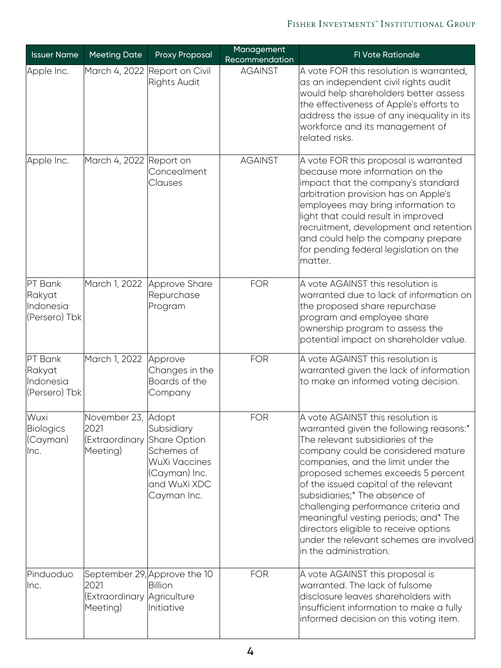#### FISHER INVESTMENTS" INSTITUTIONAL GROUP

| <b>Issuer Name</b>                              | <b>Meeting Date</b>                                      | <b>Proxy Proposal</b>                                                                                     | Management<br>Recommendation | FI Vote Rationale                                                                                                                                                                                                                                                                                                                                                                                                                                                                                          |
|-------------------------------------------------|----------------------------------------------------------|-----------------------------------------------------------------------------------------------------------|------------------------------|------------------------------------------------------------------------------------------------------------------------------------------------------------------------------------------------------------------------------------------------------------------------------------------------------------------------------------------------------------------------------------------------------------------------------------------------------------------------------------------------------------|
| Apple Inc.                                      |                                                          | March 4, 2022 Report on Civil<br><b>Rights Audit</b>                                                      | <b>AGAINST</b>               | A vote FOR this resolution is warranted,<br>as an independent civil rights audit<br>would help shareholders better assess<br>the effectiveness of Apple's efforts to<br>address the issue of any inequality in its<br>workforce and its management of<br>related risks.                                                                                                                                                                                                                                    |
| Apple Inc.                                      | March 4, 2022 Report on                                  | Concealment<br>Clauses                                                                                    | <b>AGAINST</b>               | A vote FOR this proposal is warranted<br>because more information on the<br>impact that the company's standard<br>arbitration provision has on Apple's<br>employees may bring information to<br>light that could result in improved<br>recruitment, development and retention<br>and could help the company prepare<br>for pending federal legislation on the<br>matter.                                                                                                                                   |
| PT Bank<br>Rakyat<br>Indonesia<br>(Persero) Tbk | March 1, 2022                                            | Approve Share<br>Repurchase<br>Program                                                                    | <b>FOR</b>                   | A vote AGAINST this resolution is<br>warranted due to lack of information on<br>the proposed share repurchase<br>program and employee share<br>ownership program to assess the<br>potential impact on shareholder value.                                                                                                                                                                                                                                                                                   |
| PT Bank<br>Rakyat<br>Indonesia<br>(Persero) Tbk | March 1, 2022                                            | Approve<br>Changes in the<br>Boards of the<br>Company                                                     | <b>FOR</b>                   | A vote AGAINST this resolution is<br>warranted given the lack of information<br>to make an informed voting decision.                                                                                                                                                                                                                                                                                                                                                                                       |
| Wuxi<br><b>Biologics</b><br>(Cayman)<br>Inc.    | November 23, Adopt<br>2021<br>(Extraordinary<br>Meeting) | Subsidiary<br>Share Option<br>Schemes of<br>WuXi Vaccines<br>(Cayman) Inc.<br>and WuXi XDC<br>Cayman Inc. | <b>FOR</b>                   | A vote AGAINST this resolution is<br>warranted given the following reasons:*<br>The relevant subsidiaries of the<br>company could be considered mature<br>companies, and the limit under the<br>proposed schemes exceeds 5 percent<br>of the issued capital of the relevant<br>subsidiaries;* The absence of<br>challenging performance criteria and<br>meaningful vesting periods; and* The<br>directors eligible to receive options<br>under the relevant schemes are involved<br>in the administration. |
| Pinduoduo<br>Inc.                               | 2021<br>(Extraordinary Agriculture<br>Meeting)           | September 29, Approve the 10<br>IBillion<br>Initiative                                                    | <b>FOR</b>                   | A vote AGAINST this proposal is<br>warranted. The lack of fulsome<br>disclosure leaves shareholders with<br>insufficient information to make a fully<br>informed decision on this voting item.                                                                                                                                                                                                                                                                                                             |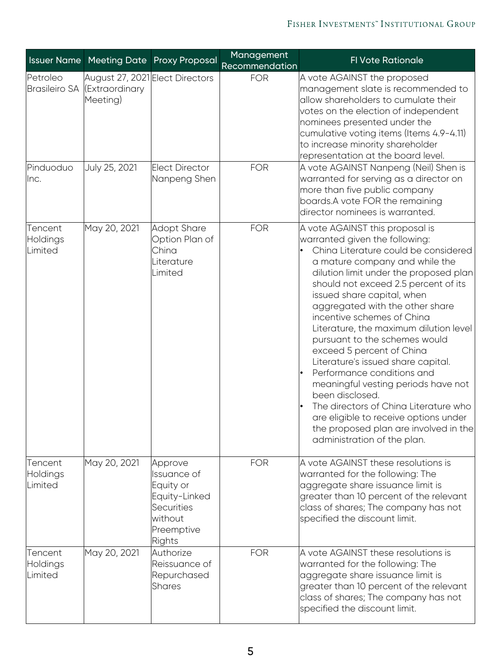|                                  |                                                               | <b>Issuer Name Meeting Date Proxy Proposal</b>                                                               | Management<br>Recommendation | FI Vote Rationale                                                                                                                                                                                                                                                                                                                                                                                                                                                                                                                                                                                                                                                                                                            |
|----------------------------------|---------------------------------------------------------------|--------------------------------------------------------------------------------------------------------------|------------------------------|------------------------------------------------------------------------------------------------------------------------------------------------------------------------------------------------------------------------------------------------------------------------------------------------------------------------------------------------------------------------------------------------------------------------------------------------------------------------------------------------------------------------------------------------------------------------------------------------------------------------------------------------------------------------------------------------------------------------------|
| Petroleo<br><b>Brasileiro SA</b> | August 27, 2021 Elect Directors<br>(Extraordinary<br>Meeting) |                                                                                                              | <b>FOR</b>                   | A vote AGAINST the proposed<br>management slate is recommended to<br>allow shareholders to cumulate their<br>votes on the election of independent<br>nominees presented under the<br>cumulative voting items (Items 4.9-4.11)<br>to increase minority shareholder<br>representation at the board level.                                                                                                                                                                                                                                                                                                                                                                                                                      |
| Pinduoduo<br>llnc.               | July 25, 2021                                                 | Elect Director<br>Nanpeng Shen                                                                               | <b>FOR</b>                   | A vote AGAINST Nanpeng (Neil) Shen is<br>warranted for serving as a director on<br>more than five public company<br>boards.A vote FOR the remaining<br>director nominees is warranted.                                                                                                                                                                                                                                                                                                                                                                                                                                                                                                                                       |
| Tencent<br>Holdings<br>Limited   | May 20, 2021                                                  | Adopt Share<br>Option Plan of<br>China<br>Literature<br>Limited                                              | <b>FOR</b>                   | A vote AGAINST this proposal is<br>warranted given the following:<br>China Literature could be considered<br>a mature company and while the<br>dilution limit under the proposed plan<br>should not exceed 2.5 percent of its<br>issued share capital, when<br>aggregated with the other share<br>incentive schemes of China<br>Literature, the maximum dilution level<br>pursuant to the schemes would<br>exceed 5 percent of China<br>Literature's issued share capital.<br>Performance conditions and<br>meaningful vesting periods have not<br>been disclosed.<br>The directors of China Literature who<br>are eligible to receive options under<br>the proposed plan are involved in the<br>administration of the plan. |
| Tencent<br>Holdings<br>Limited   | May 20, 2021                                                  | Approve<br>Issuance of<br>Equity or<br>Equity-Linked<br><b>Securities</b><br>without<br>Preemptive<br>Rights | <b>FOR</b>                   | A vote AGAINST these resolutions is<br>warranted for the following: The<br>aggregate share issuance limit is<br>greater than 10 percent of the relevant<br>class of shares; The company has not<br>specified the discount limit.                                                                                                                                                                                                                                                                                                                                                                                                                                                                                             |
| Tencent<br>Holdings<br>Limited   | May 20, 2021                                                  | Authorize<br>Reissuance of<br>Repurchased<br><b>Shares</b>                                                   | <b>FOR</b>                   | A vote AGAINST these resolutions is<br>warranted for the following: The<br>aggregate share issuance limit is<br>greater than 10 percent of the relevant<br>class of shares; The company has not<br>specified the discount limit.                                                                                                                                                                                                                                                                                                                                                                                                                                                                                             |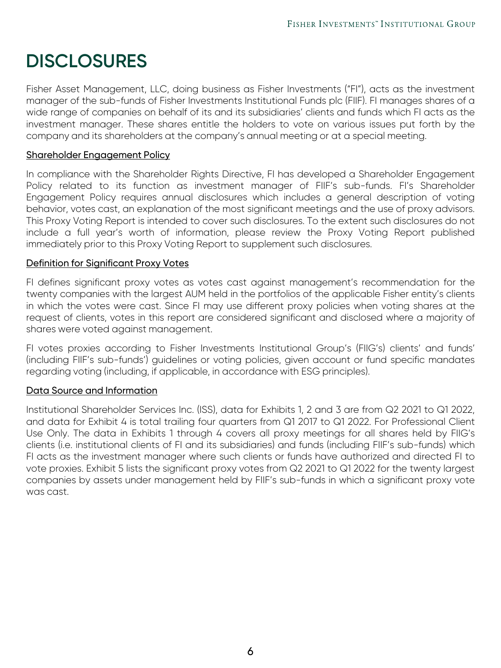# **DISCLOSURES**

Fisher Asset Management, LLC, doing business as Fisher Investments ("FI"), acts as the investment manager of the sub-funds of Fisher Investments Institutional Funds plc (FIIF). FI manages shares of a wide range of companies on behalf of its and its subsidiaries' clients and funds which FI acts as the investment manager. These shares entitle the holders to vote on various issues put forth by the company and its shareholders at the company's annual meeting or at a special meeting.

#### Shareholder Engagement Policy

In compliance with the Shareholder Rights Directive, FI has developed a Shareholder Engagement Policy related to its function as investment manager of FIIF's sub-funds. FI's Shareholder Engagement Policy requires annual disclosures which includes a general description of voting behavior, votes cast, an explanation of the most significant meetings and the use of proxy advisors. This Proxy Voting Report is intended to cover such disclosures. To the extent such disclosures do not include a full year's worth of information, please review the Proxy Voting Report published immediately prior to this Proxy Voting Report to supplement such disclosures.

#### Definition for Significant Proxy Votes

FI defines significant proxy votes as votes cast against management's recommendation for the twenty companies with the largest AUM held in the portfolios of the applicable Fisher entity's clients in which the votes were cast. Since FI may use different proxy policies when voting shares at the request of clients, votes in this report are considered significant and disclosed where a majority of shares were voted against management.

FI votes proxies according to Fisher Investments Institutional Group's (FIIG's) clients' and funds' (including FIIF's sub-funds') guidelines or voting policies, given account or fund specific mandates regarding voting (including, if applicable, in accordance with ESG principles).

#### Data Source and Information

Institutional Shareholder Services Inc. (ISS), data for Exhibits 1, 2 and 3 are from Q2 2021 to Q1 2022, and data for Exhibit 4 is total trailing four quarters from Q1 2017 to Q1 2022. For Professional Client Use Only. The data in Exhibits 1 through 4 covers all proxy meetings for all shares held by FIIG's clients (i.e. institutional clients of FI and its subsidiaries) and funds (including FIIF's sub-funds) which FI acts as the investment manager where such clients or funds have authorized and directed FI to vote proxies. Exhibit 5 lists the significant proxy votes from Q2 2021 to Q1 2022 for the twenty largest companies by assets under management held by FIIF's sub-funds in which a significant proxy vote was cast.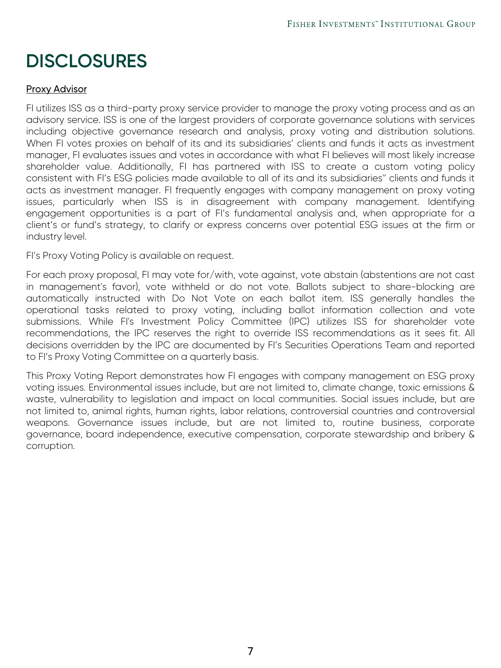# **DISCLOSURES**

#### Proxy Advisor

FI utilizes ISS as a third-party proxy service provider to manage the proxy voting process and as an advisory service. ISS is one of the largest providers of corporate governance solutions with services including objective governance research and analysis, proxy voting and distribution solutions. When FI votes proxies on behalf of its and its subsidiaries' clients and funds it acts as investment manager, FI evaluates issues and votes in accordance with what FI believes will most likely increase shareholder value. Additionally, FI has partnered with ISS to create a custom voting policy consistent with FI's ESG policies made available to all of its and its subsidiaries'' clients and funds it acts as investment manager. FI frequently engages with company management on proxy voting issues, particularly when ISS is in disagreement with company management. Identifying engagement opportunities is a part of FI's fundamental analysis and, when appropriate for a client's or fund's strategy, to clarify or express concerns over potential ESG issues at the firm or industry level.

FI's Proxy Voting Policy is available on request.

For each proxy proposal, FI may vote for/with, vote against, vote abstain (abstentions are not cast in management's favor), vote withheld or do not vote. Ballots subject to share-blocking are automatically instructed with Do Not Vote on each ballot item. ISS generally handles the operational tasks related to proxy voting, including ballot information collection and vote submissions. While FI's Investment Policy Committee (IPC) utilizes ISS for shareholder vote recommendations, the IPC reserves the right to override ISS recommendations as it sees fit. All decisions overridden by the IPC are documented by FI's Securities Operations Team and reported to FI's Proxy Voting Committee on a quarterly basis.

This Proxy Voting Report demonstrates how FI engages with company management on ESG proxy voting issues. Environmental issues include, but are not limited to, climate change, toxic emissions & waste, vulnerability to legislation and impact on local communities. Social issues include, but are not limited to, animal rights, human rights, labor relations, controversial countries and controversial weapons. Governance issues include, but are not limited to, routine business, corporate governance, board independence, executive compensation, corporate stewardship and bribery & corruption.